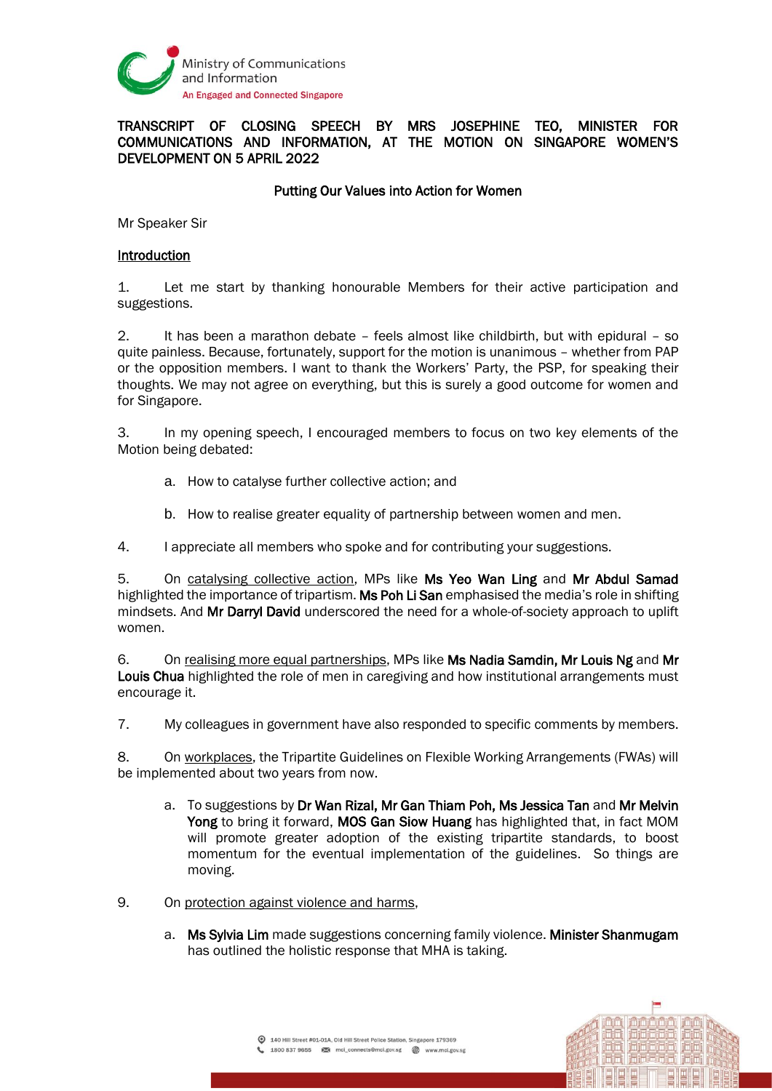

# TRANSCRIPT OF CLOSING SPEECH BY MRS JOSEPHINE TEO, MINISTER FOR COMMUNICATIONS AND INFORMATION, AT THE MOTION ON SINGAPORE WOMEN'S DEVELOPMENT ON 5 APRIL 2022

## Putting Our Values into Action for Women

Mr Speaker Sir

#### Introduction

1. Let me start by thanking honourable Members for their active participation and suggestions.

2. It has been a marathon debate – feels almost like childbirth, but with epidural – so quite painless. Because, fortunately, support for the motion is unanimous – whether from PAP or the opposition members. I want to thank the Workers' Party, the PSP, for speaking their thoughts. We may not agree on everything, but this is surely a good outcome for women and for Singapore.

3. In my opening speech, I encouraged members to focus on two key elements of the Motion being debated:

- a. How to catalyse further collective action; and
- b. How to realise greater equality of partnership between women and men.

4. I appreciate all members who spoke and for contributing your suggestions.

5. On catalysing collective action, MPs like Ms Yeo Wan Ling and Mr Abdul Samad highlighted the importance of tripartism. Ms Poh Li San emphasised the media's role in shifting mindsets. And Mr Darryl David underscored the need for a whole-of-society approach to uplift women.

6. On realising more equal partnerships, MPs like Ms Nadia Samdin, Mr Louis Ng and Mr Louis Chua highlighted the role of men in caregiving and how institutional arrangements must encourage it.

7. My colleagues in government have also responded to specific comments by members.

8. On workplaces, the Tripartite Guidelines on Flexible Working Arrangements (FWAs) will be implemented about two years from now.

- a. To suggestions by Dr Wan Rizal, Mr Gan Thiam Poh, Ms Jessica Tan and Mr Melvin Yong to bring it forward, MOS Gan Siow Huang has highlighted that, in fact MOM will promote greater adoption of the existing tripartite standards, to boost momentum for the eventual implementation of the guidelines. So things are moving.
- 9. On protection against violence and harms,
	- a. Ms Sylvia Lim made suggestions concerning family violence. Minister Shanmugam has outlined the holistic response that MHA is taking.

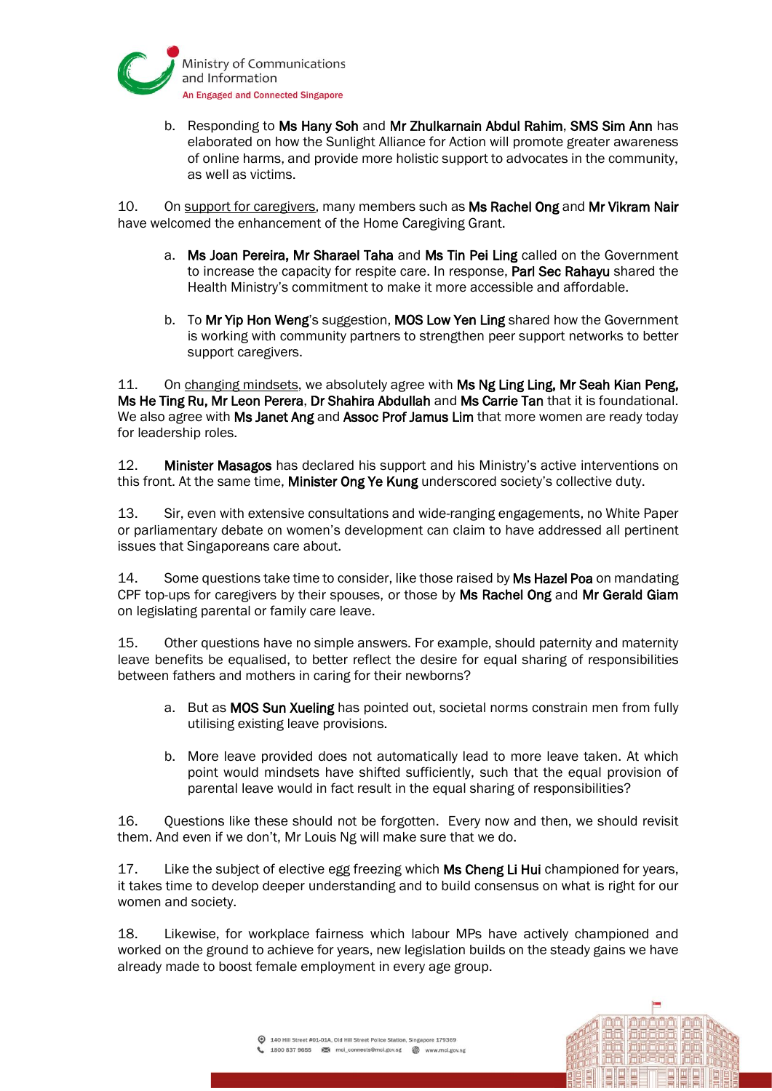

b. Responding to Ms Hany Soh and Mr Zhulkarnain Abdul Rahim, SMS Sim Ann has elaborated on how the Sunlight Alliance for Action will promote greater awareness of online harms, and provide more holistic support to advocates in the community, as well as victims.

10. On support for caregivers, many members such as Ms Rachel Ong and Mr Vikram Nair have welcomed the enhancement of the Home Caregiving Grant.

- a. Ms Joan Pereira, Mr Sharael Taha and Ms Tin Pei Ling called on the Government to increase the capacity for respite care. In response, Parl Sec Rahayu shared the Health Ministry's commitment to make it more accessible and affordable.
- b. To Mr Yip Hon Weng's suggestion, MOS Low Yen Ling shared how the Government is working with community partners to strengthen peer support networks to better support caregivers.

11. On changing mindsets, we absolutely agree with Ms Ng Ling Ling, Mr Seah Kian Peng, Ms He Ting Ru, Mr Leon Perera, Dr Shahira Abdullah and Ms Carrie Tan that it is foundational. We also agree with Ms Janet Ang and Assoc Prof Jamus Lim that more women are ready today for leadership roles.

12. Minister Masagos has declared his support and his Ministry's active interventions on this front. At the same time, **Minister Ong Ye Kung** underscored society's collective duty.

13. Sir, even with extensive consultations and wide-ranging engagements, no White Paper or parliamentary debate on women's development can claim to have addressed all pertinent issues that Singaporeans care about.

14. Some questions take time to consider, like those raised by Ms Hazel Poa on mandating CPF top-ups for caregivers by their spouses, or those by Ms Rachel Ong and Mr Gerald Giam on legislating parental or family care leave.

15. Other questions have no simple answers. For example, should paternity and maternity leave benefits be equalised, to better reflect the desire for equal sharing of responsibilities between fathers and mothers in caring for their newborns?

- a. But as MOS Sun Xueling has pointed out, societal norms constrain men from fully utilising existing leave provisions.
- b. More leave provided does not automatically lead to more leave taken. At which point would mindsets have shifted sufficiently, such that the equal provision of parental leave would in fact result in the equal sharing of responsibilities?

16. Questions like these should not be forgotten. Every now and then, we should revisit them. And even if we don't, Mr Louis Ng will make sure that we do.

17. Like the subject of elective egg freezing which Ms Cheng Li Hui championed for years, it takes time to develop deeper understanding and to build consensus on what is right for our women and society.

18. Likewise, for workplace fairness which labour MPs have actively championed and worked on the ground to achieve for years, new legislation builds on the steady gains we have already made to boost female employment in every age group.

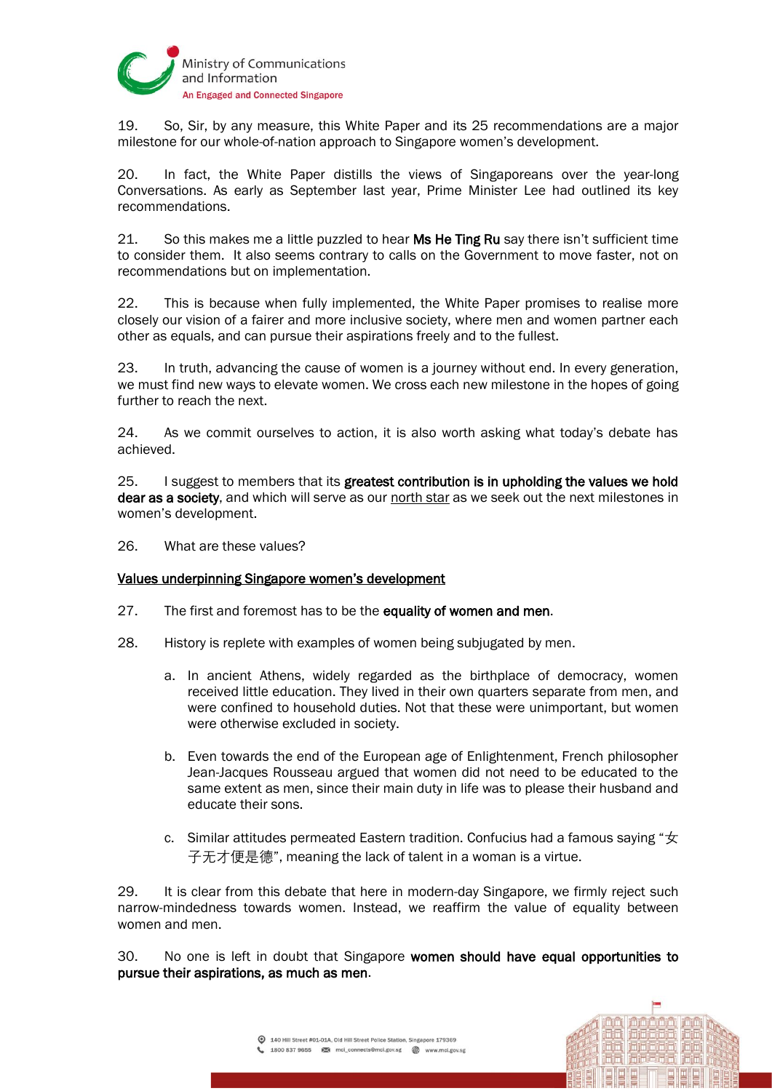

19. So, Sir, by any measure, this White Paper and its 25 recommendations are a major milestone for our whole-of-nation approach to Singapore women's development.

20. In fact, the White Paper distills the views of Singaporeans over the year-long Conversations. As early as September last year, Prime Minister Lee had outlined its key recommendations.

21. So this makes me a little puzzled to hear Ms He Ting Ru say there isn't sufficient time to consider them. It also seems contrary to calls on the Government to move faster, not on recommendations but on implementation.

22. This is because when fully implemented, the White Paper promises to realise more closely our vision of a fairer and more inclusive society, where men and women partner each other as equals, and can pursue their aspirations freely and to the fullest.

23. In truth, advancing the cause of women is a journey without end. In every generation, we must find new ways to elevate women. We cross each new milestone in the hopes of going further to reach the next.

24. As we commit ourselves to action, it is also worth asking what today's debate has achieved.

25. I suggest to members that its greatest contribution is in upholding the values we hold dear as a society, and which will serve as our north star as we seek out the next milestones in women's development.

26. What are these values?

### Values underpinning Singapore women's development

- 27. The first and foremost has to be the equality of women and men.
- 28. History is replete with examples of women being subjugated by men.
	- a. In ancient Athens, widely regarded as the birthplace of democracy, women received little education. They lived in their own quarters separate from men, and were confined to household duties. Not that these were unimportant, but women were otherwise excluded in society.
	- b. Even towards the end of the European age of Enlightenment, French philosopher Jean-Jacques Rousseau argued that women did not need to be educated to the same extent as men, since their main duty in life was to please their husband and educate their sons.
	- c. Similar attitudes permeated Eastern tradition. Confucius had a famous saying " $\pm$ 子无才便是德", meaning the lack of talent in a woman is a virtue.

29. It is clear from this debate that here in modern-day Singapore, we firmly reject such narrow-mindedness towards women. Instead, we reaffirm the value of equality between women and men.

30. No one is left in doubt that Singapore women should have equal opportunities to pursue their aspirations, as much as men.

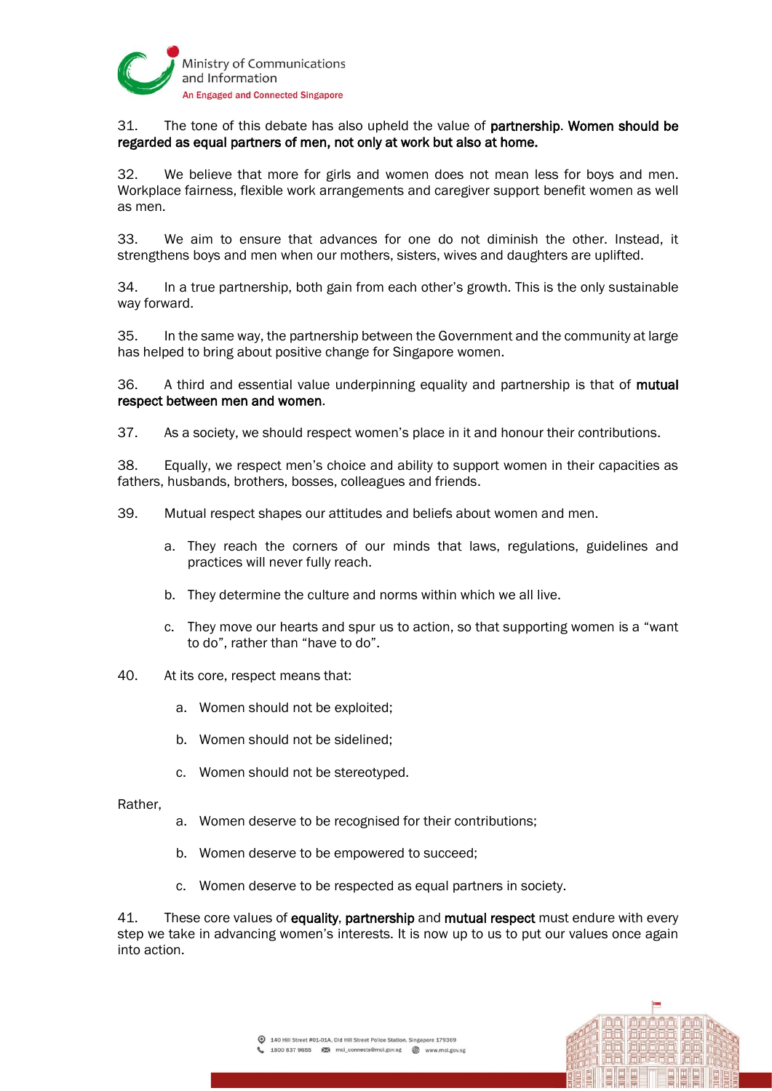

# 31. The tone of this debate has also upheld the value of partnership. Women should be regarded as equal partners of men, not only at work but also at home.

32. We believe that more for girls and women does not mean less for boys and men. Workplace fairness, flexible work arrangements and caregiver support benefit women as well as men.

33. We aim to ensure that advances for one do not diminish the other. Instead, it strengthens boys and men when our mothers, sisters, wives and daughters are uplifted.

34. In a true partnership, both gain from each other's growth. This is the only sustainable way forward.

35. In the same way, the partnership between the Government and the community at large has helped to bring about positive change for Singapore women.

36. A third and essential value underpinning equality and partnership is that of mutual respect between men and women.

37. As a society, we should respect women's place in it and honour their contributions.

38. Equally, we respect men's choice and ability to support women in their capacities as fathers, husbands, brothers, bosses, colleagues and friends.

- 39. Mutual respect shapes our attitudes and beliefs about women and men.
	- a. They reach the corners of our minds that laws, regulations, guidelines and practices will never fully reach.
	- b. They determine the culture and norms within which we all live.
	- c. They move our hearts and spur us to action, so that supporting women is a "want to do", rather than "have to do".
- 40. At its core, respect means that:
	- a. Women should not be exploited;
	- b. Women should not be sidelined;
	- c. Women should not be stereotyped.
- Rather,
- a. Women deserve to be recognised for their contributions;
- b. Women deserve to be empowered to succeed;
- c. Women deserve to be respected as equal partners in society.

41. These core values of equality, partnership and mutual respect must endure with every step we take in advancing women's interests. It is now up to us to put our values once again into action.

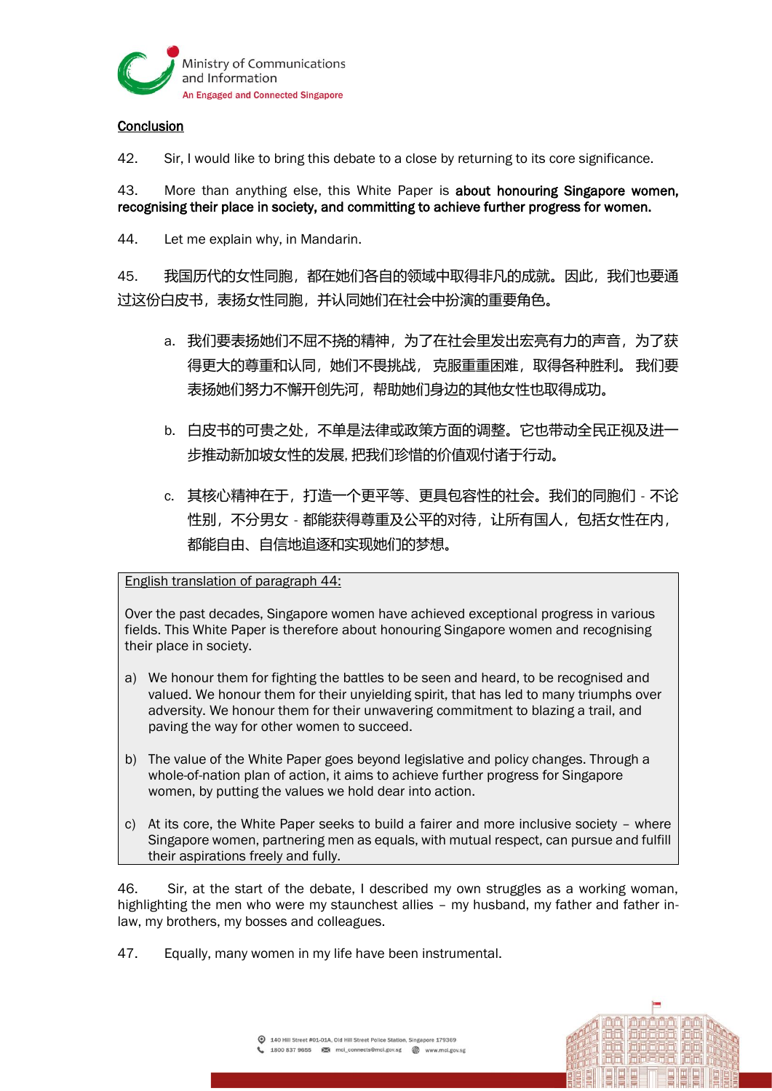

## **Conclusion**

42. Sir, I would like to bring this debate to a close by returning to its core significance.

43. More than anything else, this White Paper is about honouring Singapore women, recognising their place in society, and committing to achieve further progress for women.

44. Let me explain why, in Mandarin.

45. 我国历代的女性同胞,都在她们各自的领域中取得非凡的成就。因此,我们也要通 过这份白皮书,表扬女性同胞,并认同她们在社会中扮演的重要角色。

- a. 我们要表扬她们不屈不挠的精神,为了在社会里发出宏亮有力的声音,为了获 得更大的尊重和认同,她们不畏挑战, 克服重重困难,取得各种胜利。 我们要 表扬她们努力不懈开创先河,帮助她们身边的其他女性也取得成功。
- b. 白皮书的可贵之处,不单是法律或政策方面的调整。它也带动全民正视及进一 步推动新加坡女性的发展, 把我们珍惜的价值观付诸于行动。
- c. 其核心精神在于,打造一个更平等、更具包容性的社会。我们的同胞们 不论 性别,不分男女 - 都能获得尊重及公平的对待, 让所有国人, 包括女性在内, 都能自由、自信地追逐和实现她们的梦想。

English translation of paragraph 44:

Over the past decades, Singapore women have achieved exceptional progress in various fields. This White Paper is therefore about honouring Singapore women and recognising their place in society.

- a) We honour them for fighting the battles to be seen and heard, to be recognised and valued. We honour them for their unyielding spirit, that has led to many triumphs over adversity. We honour them for their unwavering commitment to blazing a trail, and paving the way for other women to succeed.
- b) The value of the White Paper goes beyond legislative and policy changes. Through a whole-of-nation plan of action, it aims to achieve further progress for Singapore women, by putting the values we hold dear into action.
- c) At its core, the White Paper seeks to build a fairer and more inclusive society where Singapore women, partnering men as equals, with mutual respect, can pursue and fulfill their aspirations freely and fully.

46. Sir, at the start of the debate, I described my own struggles as a working woman, highlighting the men who were my staunchest allies – my husband, my father and father inlaw, my brothers, my bosses and colleagues.

47. Equally, many women in my life have been instrumental.

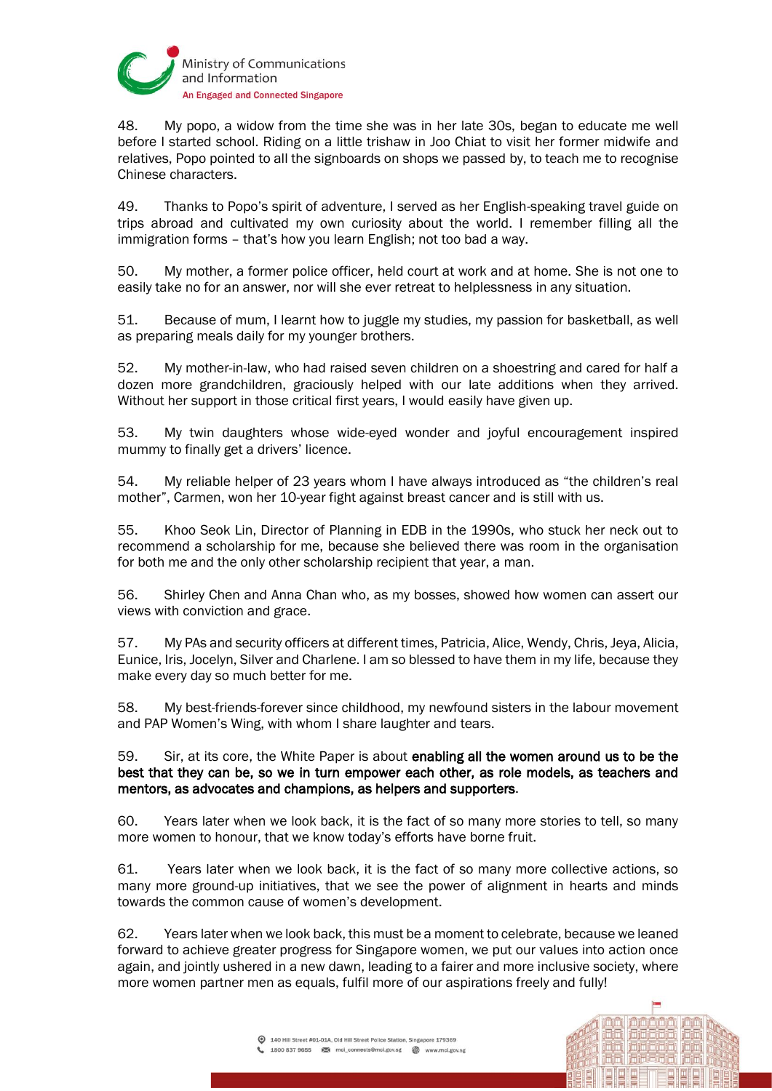

48. My popo, a widow from the time she was in her late 30s, began to educate me well before I started school. Riding on a little trishaw in Joo Chiat to visit her former midwife and relatives, Popo pointed to all the signboards on shops we passed by, to teach me to recognise Chinese characters.

49. Thanks to Popo's spirit of adventure, I served as her English-speaking travel guide on trips abroad and cultivated my own curiosity about the world. I remember filling all the immigration forms – that's how you learn English; not too bad a way.

50. My mother, a former police officer, held court at work and at home. She is not one to easily take no for an answer, nor will she ever retreat to helplessness in any situation.

51. Because of mum, I learnt how to juggle my studies, my passion for basketball, as well as preparing meals daily for my younger brothers.

52. My mother-in-law, who had raised seven children on a shoestring and cared for half a dozen more grandchildren, graciously helped with our late additions when they arrived. Without her support in those critical first years, I would easily have given up.

53. My twin daughters whose wide-eyed wonder and joyful encouragement inspired mummy to finally get a drivers' licence.

54. My reliable helper of 23 years whom I have always introduced as "the children's real mother", Carmen, won her 10-year fight against breast cancer and is still with us.

55. Khoo Seok Lin, Director of Planning in EDB in the 1990s, who stuck her neck out to recommend a scholarship for me, because she believed there was room in the organisation for both me and the only other scholarship recipient that year, a man.

56. Shirley Chen and Anna Chan who, as my bosses, showed how women can assert our views with conviction and grace.

57. My PAs and security officers at different times, Patricia, Alice, Wendy, Chris, Jeya, Alicia, Eunice, Iris, Jocelyn, Silver and Charlene. I am so blessed to have them in my life, because they make every day so much better for me.

58. My best-friends-forever since childhood, my newfound sisters in the labour movement and PAP Women's Wing, with whom I share laughter and tears.

59. Sir, at its core, the White Paper is about enabling all the women around us to be the best that they can be, so we in turn empower each other, as role models, as teachers and mentors, as advocates and champions, as helpers and supporters.

60. Years later when we look back, it is the fact of so many more stories to tell, so many more women to honour, that we know today's efforts have borne fruit.

61. Years later when we look back, it is the fact of so many more collective actions, so many more ground-up initiatives, that we see the power of alignment in hearts and minds towards the common cause of women's development.

62. Years later when we look back, this must be a moment to celebrate, because we leaned forward to achieve greater progress for Singapore women, we put our values into action once again, and jointly ushered in a new dawn, leading to a fairer and more inclusive society, where more women partner men as equals, fulfil more of our aspirations freely and fully!